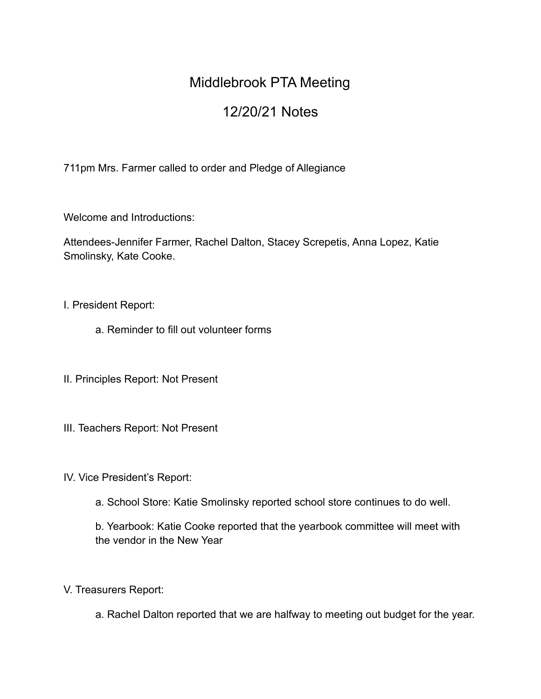## Middlebrook PTA Meeting

## 12/20/21 Notes

711pm Mrs. Farmer called to order and Pledge of Allegiance

Welcome and Introductions:

Attendees-Jennifer Farmer, Rachel Dalton, Stacey Screpetis, Anna Lopez, Katie Smolinsky, Kate Cooke.

## I. President Report:

- a. Reminder to fill out volunteer forms
- II. Principles Report: Not Present
- III. Teachers Report: Not Present
- IV. Vice President's Report:
	- a. School Store: Katie Smolinsky reported school store continues to do well.

b. Yearbook: Katie Cooke reported that the yearbook committee will meet with the vendor in the New Year

- V. Treasurers Report:
	- a. Rachel Dalton reported that we are halfway to meeting out budget for the year.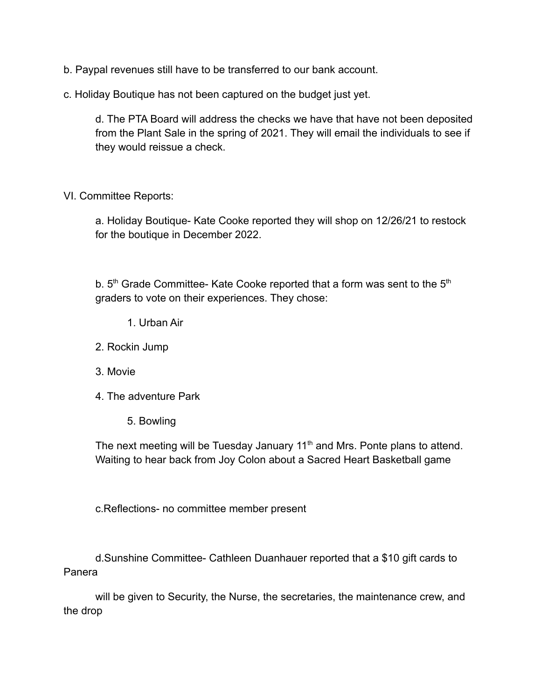b. Paypal revenues still have to be transferred to our bank account.

c. Holiday Boutique has not been captured on the budget just yet.

d. The PTA Board will address the checks we have that have not been deposited from the Plant Sale in the spring of 2021. They will email the individuals to see if they would reissue a check.

VI. Committee Reports:

a. Holiday Boutique- Kate Cooke reported they will shop on 12/26/21 to restock for the boutique in December 2022.

b.  $5<sup>th</sup>$  Grade Committee- Kate Cooke reported that a form was sent to the  $5<sup>th</sup>$ graders to vote on their experiences. They chose:

- 1. Urban Air
- 2. Rockin Jump
- 3. Movie
- 4. The adventure Park
	- 5. Bowling

The next meeting will be Tuesday January 11<sup>th</sup> and Mrs. Ponte plans to attend. Waiting to hear back from Joy Colon about a Sacred Heart Basketball game

c.Reflections- no committee member present

d.Sunshine Committee- Cathleen Duanhauer reported that a \$10 gift cards to Panera

will be given to Security, the Nurse, the secretaries, the maintenance crew, and the drop